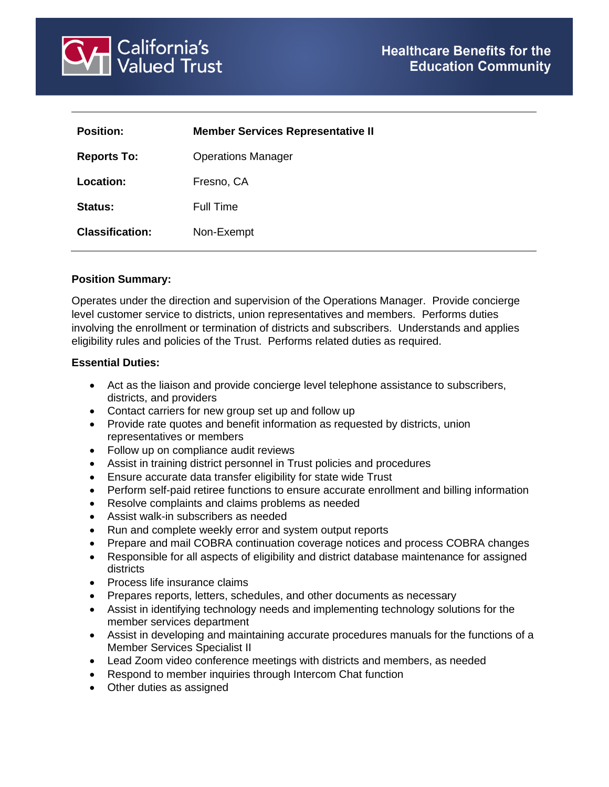

| <b>Position:</b>       | <b>Member Services Representative II</b> |
|------------------------|------------------------------------------|
| <b>Reports To:</b>     | <b>Operations Manager</b>                |
| Location:              | Fresno, CA                               |
| <b>Status:</b>         | Full Time                                |
| <b>Classification:</b> | Non-Exempt                               |
|                        |                                          |

## **Position Summary:**

Operates under the direction and supervision of the Operations Manager. Provide concierge level customer service to districts, union representatives and members. Performs duties involving the enrollment or termination of districts and subscribers. Understands and applies eligibility rules and policies of the Trust. Performs related duties as required.

#### **Essential Duties:**

- Act as the liaison and provide concierge level telephone assistance to subscribers, districts, and providers
- Contact carriers for new group set up and follow up
- Provide rate quotes and benefit information as requested by districts, union representatives or members
- Follow up on compliance audit reviews
- Assist in training district personnel in Trust policies and procedures
- Ensure accurate data transfer eligibility for state wide Trust
- Perform self-paid retiree functions to ensure accurate enrollment and billing information
- Resolve complaints and claims problems as needed
- Assist walk-in subscribers as needed
- Run and complete weekly error and system output reports
- Prepare and mail COBRA continuation coverage notices and process COBRA changes
- Responsible for all aspects of eligibility and district database maintenance for assigned districts
- Process life insurance claims
- Prepares reports, letters, schedules, and other documents as necessary
- Assist in identifying technology needs and implementing technology solutions for the member services department
- Assist in developing and maintaining accurate procedures manuals for the functions of a Member Services Specialist II
- Lead Zoom video conference meetings with districts and members, as needed
- Respond to member inquiries through Intercom Chat function
- Other duties as assigned